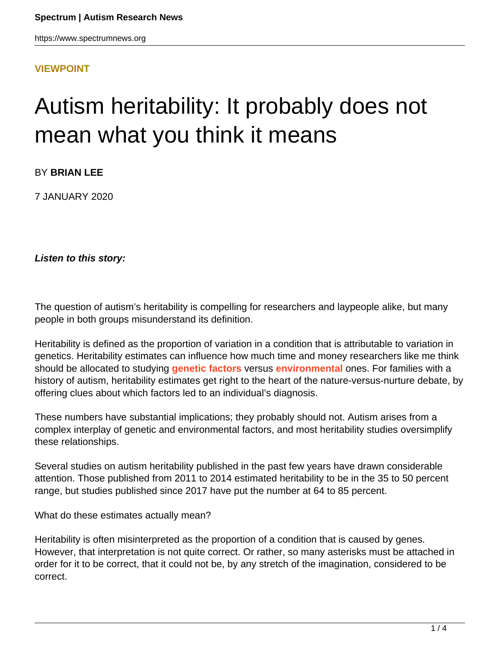#### **[VIEWPOINT](HTTPS://WWW.SPECTRUMNEWS.ORG/OPINION/VIEWPOINT/)**

# Autism heritability: It probably does not mean what you think it means

BY **BRIAN LEE**

7 JANUARY 2020

**Listen to this story:**

The question of autism's heritability is compelling for researchers and laypeople alike, but many people in both groups misunderstand its definition.

Heritability is defined as the proportion of variation in a condition that is attributable to variation in genetics. Heritability estimates can influence how much time and money researchers like me think should be allocated to studying **[genetic factors](https://www.spectrumnews.org/news/autism-genetics-explained/)** versus **[environmental](https://www.spectrumnews.org/news/environmental-risk-autism-explained/)** ones. For families with a history of autism, heritability estimates get right to the heart of the nature-versus-nurture debate, by offering clues about which factors led to an individual's diagnosis.

These numbers have substantial implications; they probably should not. Autism arises from a complex interplay of genetic and environmental factors, and most heritability studies oversimplify these relationships.

Several studies on autism heritability published in the past few years have drawn considerable attention. Those published from 2011 to 2014 estimated heritability to be in the 35 to 50 percent range, but studies published since 2017 have put the number at 64 to 85 percent.

What do these estimates actually mean?

Heritability is often misinterpreted as the proportion of a condition that is caused by genes. However, that interpretation is not quite correct. Or rather, so many asterisks must be attached in order for it to be correct, that it could not be, by any stretch of the imagination, considered to be correct.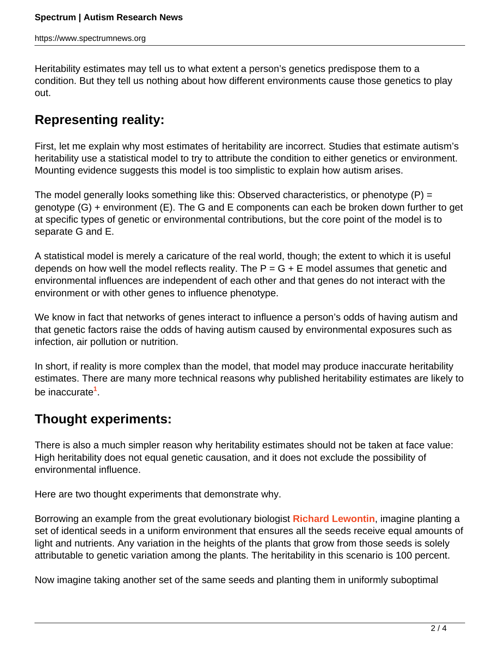Heritability estimates may tell us to what extent a person's genetics predispose them to a condition. But they tell us nothing about how different environments cause those genetics to play out.

## **Representing reality:**

First, let me explain why most estimates of heritability are incorrect. Studies that estimate autism's heritability use a statistical model to try to attribute the condition to either genetics or environment. Mounting evidence suggests this model is too simplistic to explain how autism arises.

The model generally looks something like this: Observed characteristics, or phenotype  $(P)$  = genotype (G) + environment (E). The G and E components can each be broken down further to get at specific types of genetic or environmental contributions, but the core point of the model is to separate G and E.

A statistical model is merely a caricature of the real world, though; the extent to which it is useful depends on how well the model reflects reality. The  $P = G + E$  model assumes that genetic and environmental influences are independent of each other and that genes do not interact with the environment or with other genes to influence phenotype.

We know in fact that networks of genes interact to influence a person's odds of having autism and that genetic factors raise the odds of having autism caused by environmental exposures such as infection, air pollution or nutrition.

In short, if reality is more complex than the model, that model may produce inaccurate heritability estimates. There are many more technical reasons why published heritability estimates are likely to be inaccurate**<sup>1</sup>** .

### **Thought experiments:**

There is also a much simpler reason why heritability estimates should not be taken at face value: High heritability does not equal genetic causation, and it does not exclude the possibility of environmental influence.

Here are two thought experiments that demonstrate why.

Borrowing an example from the great evolutionary biologist **[Richard Lewontin](https://oeb.harvard.edu/people/richard-lewontin)**, imagine planting a set of identical seeds in a uniform environment that ensures all the seeds receive equal amounts of light and nutrients. Any variation in the heights of the plants that grow from those seeds is solely attributable to genetic variation among the plants. The heritability in this scenario is 100 percent.

Now imagine taking another set of the same seeds and planting them in uniformly suboptimal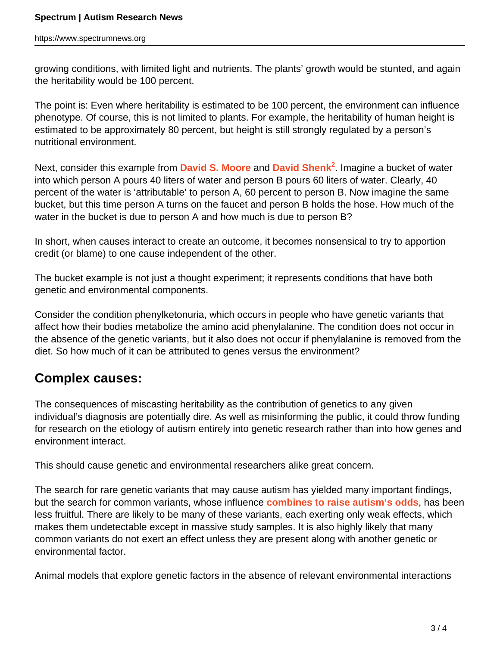growing conditions, with limited light and nutrients. The plants' growth would be stunted, and again the heritability would be 100 percent.

The point is: Even where heritability is estimated to be 100 percent, the environment can influence phenotype. Of course, this is not limited to plants. For example, the heritability of human height is estimated to be approximately 80 percent, but height is still strongly regulated by a person's nutritional environment.

Next, consider this example from **[David S. Moore](https://www.pitzer.edu/academics/faculty/david-moore/)** and **[David Shenk](http://davidshenk.com/)<sup>2</sup>** . Imagine a bucket of water into which person A pours 40 liters of water and person B pours 60 liters of water. Clearly, 40 percent of the water is 'attributable' to person A, 60 percent to person B. Now imagine the same bucket, but this time person A turns on the faucet and person B holds the hose. How much of the water in the bucket is due to person A and how much is due to person B?

In short, when causes interact to create an outcome, it becomes nonsensical to try to apportion credit (or blame) to one cause independent of the other.

The bucket example is not just a thought experiment; it represents conditions that have both genetic and environmental components.

Consider the condition phenylketonuria, which occurs in people who have genetic variants that affect how their bodies metabolize the amino acid phenylalanine. The condition does not occur in the absence of the genetic variants, but it also does not occur if phenylalanine is removed from the diet. So how much of it can be attributed to genes versus the environment?

### **Complex causes:**

The consequences of miscasting heritability as the contribution of genetics to any given individual's diagnosis are potentially dire. As well as misinforming the public, it could throw funding for research on the etiology of autism entirely into genetic research rather than into how genes and environment interact.

This should cause genetic and environmental researchers alike great concern.

The search for rare genetic variants that may cause autism has yielded many important findings, but the search for common variants, whose influence **[combines to raise autism's odds](https://www.spectrumnews.org/opinion/viewpoint/interplay-common-rare-variation-autism/)**, has been less fruitful. There are likely to be many of these variants, each exerting only weak effects, which makes them undetectable except in massive study samples. It is also highly likely that many common variants do not exert an effect unless they are present along with another genetic or environmental factor.

Animal models that explore genetic factors in the absence of relevant environmental interactions